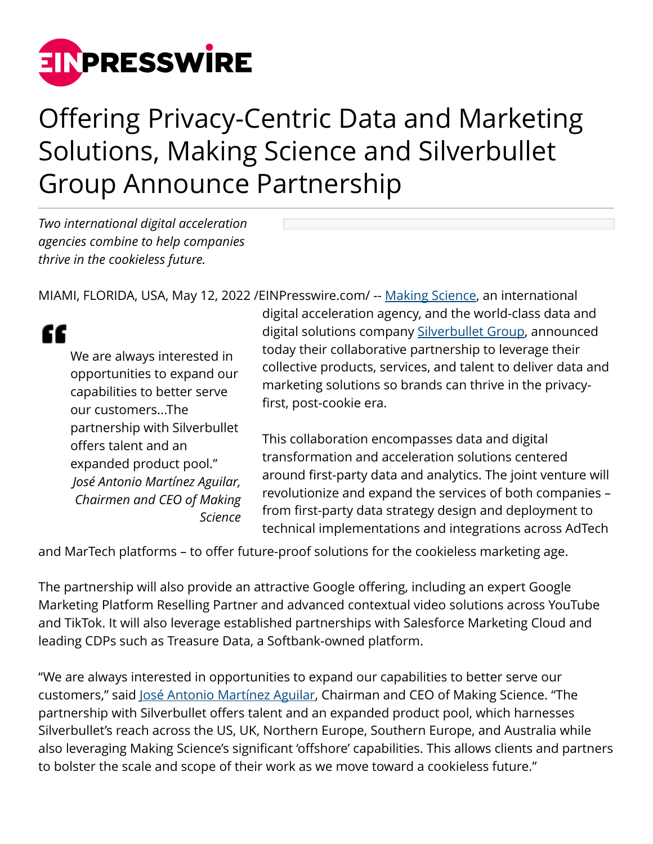

## Offering Privacy-Centric Data and Marketing Solutions, Making Science and Silverbullet Group Announce Partnership

*Two international digital acceleration agencies combine to help companies thrive in the cookieless future.*

MIAMI, FLORIDA, USA, May 12, 2022 / EIN Presswire.com/ -- [Making Science,](http://www.makingscience.com/) an international

## "

We are always interested in opportunities to expand our capabilities to better serve our customers...The partnership with Silverbullet offers talent and an expanded product pool." *José Antonio Martínez Aguilar, Chairmen and CEO of Making Science*

digital acceleration agency, and the world-class data and digital solutions company [Silverbullet Group](https://wearesilverbullet.com/), announced today their collaborative partnership to leverage their collective products, services, and talent to deliver data and marketing solutions so brands can thrive in the privacyfirst, post-cookie era.

This collaboration encompasses data and digital transformation and acceleration solutions centered around first-party data and analytics. The joint venture will revolutionize and expand the services of both companies – from first-party data strategy design and deployment to technical implementations and integrations across AdTech

and MarTech platforms – to offer future-proof solutions for the cookieless marketing age.

The partnership will also provide an attractive Google offering, including an expert Google Marketing Platform Reselling Partner and advanced contextual video solutions across YouTube and TikTok. It will also leverage established partnerships with Salesforce Marketing Cloud and leading CDPs such as Treasure Data, a Softbank-owned platform.

"We are always interested in opportunities to expand our capabilities to better serve our customers," said [José Antonio Martínez Aguilar,](https://www.linkedin.com/in/joseantoniomartinezaguilar/) Chairman and CEO of Making Science. "The partnership with Silverbullet offers talent and an expanded product pool, which harnesses Silverbullet's reach across the US, UK, Northern Europe, Southern Europe, and Australia while also leveraging Making Science's significant 'offshore' capabilities. This allows clients and partners to bolster the scale and scope of their work as we move toward a cookieless future."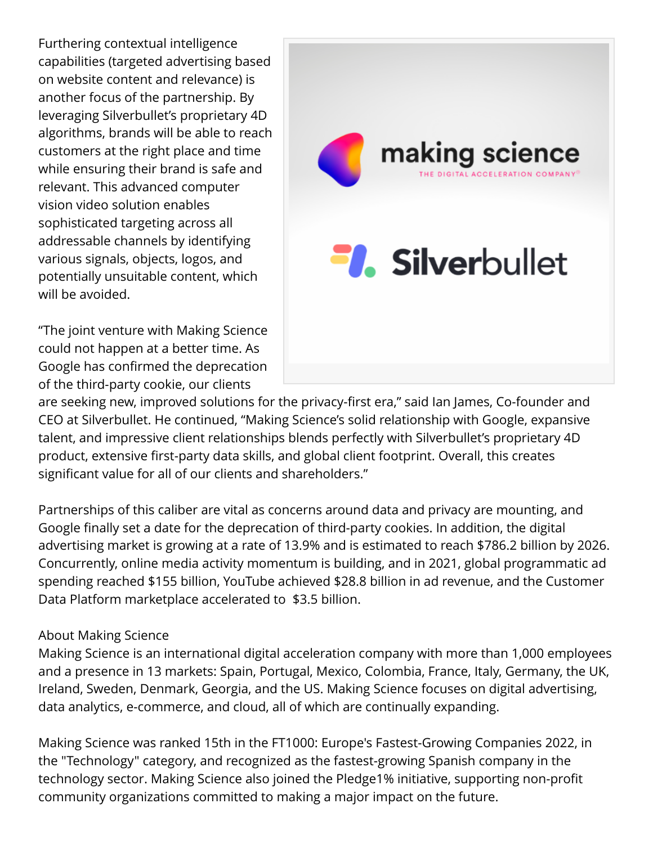Furthering contextual intelligence capabilities (targeted advertising based on website content and relevance) is another focus of the partnership. By leveraging Silverbullet's proprietary 4D algorithms, brands will be able to reach customers at the right place and time while ensuring their brand is safe and relevant. This advanced computer vision video solution enables sophisticated targeting across all addressable channels by identifying various signals, objects, logos, and potentially unsuitable content, which will be avoided.

"The joint venture with Making Science could not happen at a better time. As Google has confirmed the deprecation of the third-party cookie, our clients



are seeking new, improved solutions for the privacy-first era," said Ian James, Co-founder and CEO at Silverbullet. He continued, "Making Science's solid relationship with Google, expansive talent, and impressive client relationships blends perfectly with Silverbullet's proprietary 4D product, extensive first-party data skills, and global client footprint. Overall, this creates significant value for all of our clients and shareholders."

Partnerships of this caliber are vital as concerns around data and privacy are mounting, and Google finally set a date for the deprecation of third-party cookies. In addition, the digital advertising market is growing at a rate of 13.9% and is estimated to reach \$786.2 billion by 2026. Concurrently, online media activity momentum is building, and in 2021, global programmatic ad spending reached \$155 billion, YouTube achieved \$28.8 billion in ad revenue, and the Customer Data Platform marketplace accelerated to \$3.5 billion.

## About Making Science

Making Science is an international digital acceleration company with more than 1,000 employees and a presence in 13 markets: Spain, Portugal, Mexico, Colombia, France, Italy, Germany, the UK, Ireland, Sweden, Denmark, Georgia, and the US. Making Science focuses on digital advertising, data analytics, e-commerce, and cloud, all of which are continually expanding.

Making Science was ranked 15th in the FT1000: Europe's Fastest-Growing Companies 2022, in the "Technology" category, and recognized as the fastest-growing Spanish company in the technology sector. Making Science also joined the Pledge1% initiative, supporting non-profit community organizations committed to making a major impact on the future.